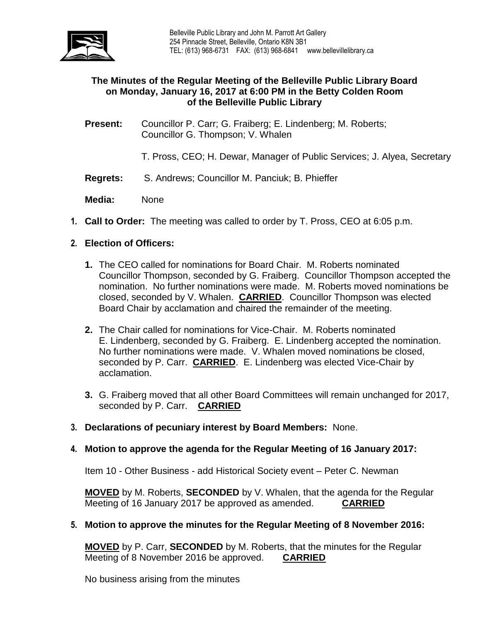

# **The Minutes of the Regular Meeting of the Belleville Public Library Board on Monday, January 16, 2017 at 6:00 PM in the Betty Colden Room of the Belleville Public Library**

- **Present:** Councillor P. Carr; G. Fraiberg; E. Lindenberg; M. Roberts; Councillor G. Thompson; V. Whalen
	- T. Pross, CEO; H. Dewar, Manager of Public Services; J. Alyea, Secretary
- **Regrets:** S. Andrews; Councillor M. Panciuk; B. Phieffer
- **Media:** None
- **1. Call to Order:** The meeting was called to order by T. Pross, CEO at 6:05 p.m.
- **2. Election of Officers:**
	- **1.** The CEO called for nominations for Board Chair. M. Roberts nominated Councillor Thompson, seconded by G. Fraiberg. Councillor Thompson accepted the nomination. No further nominations were made. M. Roberts moved nominations be closed, seconded by V. Whalen. **CARRIED**. Councillor Thompson was elected Board Chair by acclamation and chaired the remainder of the meeting.
	- **2.** The Chair called for nominations for Vice-Chair. M. Roberts nominated E. Lindenberg, seconded by G. Fraiberg. E. Lindenberg accepted the nomination. No further nominations were made. V. Whalen moved nominations be closed, seconded by P. Carr. **CARRIED**. E. Lindenberg was elected Vice-Chair by acclamation.
	- **3.** G. Fraiberg moved that all other Board Committees will remain unchanged for 2017, seconded by P. Carr. **CARRIED**
- **3. Declarations of pecuniary interest by Board Members:** None.

## **4. Motion to approve the agenda for the Regular Meeting of 16 January 2017:**

Item 10 - Other Business - add Historical Society event – Peter C. Newman

**MOVED** by M. Roberts, **SECONDED** by V. Whalen, that the agenda for the Regular Meeting of 16 January 2017 be approved as amended. **CARRIED**

## **5. Motion to approve the minutes for the Regular Meeting of 8 November 2016:**

**MOVED** by P. Carr, **SECONDED** by M. Roberts, that the minutes for the Regular Meeting of 8 November 2016 be approved. **CARRIED**

No business arising from the minutes